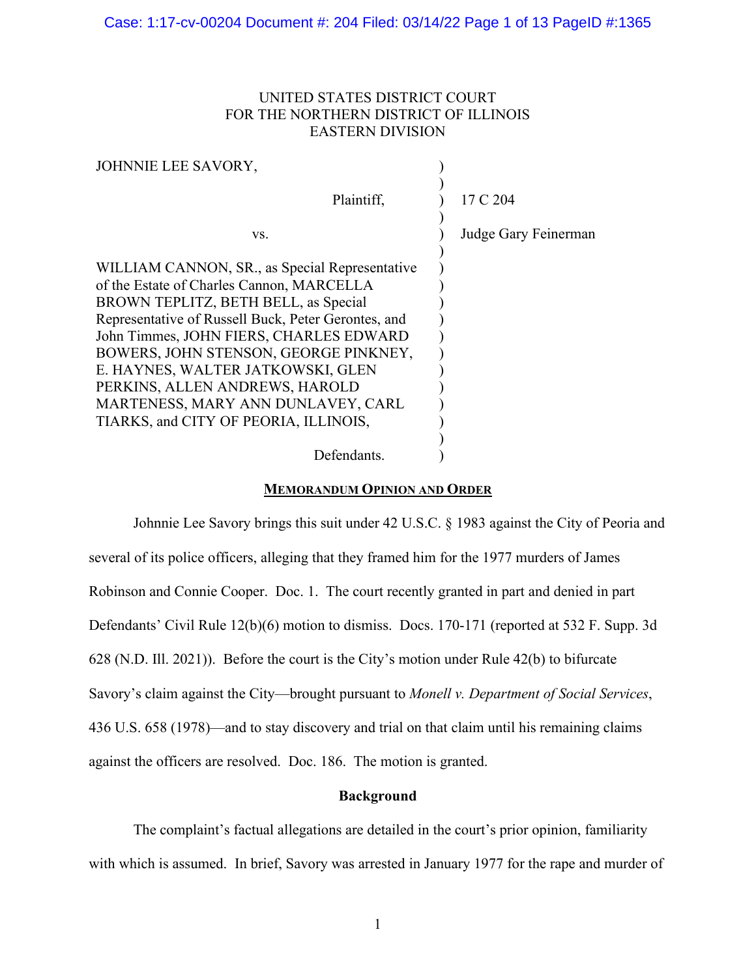# UNITED STATES DISTRICT COURT FOR THE NORTHERN DISTRICT OF ILLINOIS EASTERN DIVISION

| JOHNNIE LEE SAVORY,                                                                                                                                                                                                                                                                                                                                                                                                                  |                      |
|--------------------------------------------------------------------------------------------------------------------------------------------------------------------------------------------------------------------------------------------------------------------------------------------------------------------------------------------------------------------------------------------------------------------------------------|----------------------|
| Plaintiff,                                                                                                                                                                                                                                                                                                                                                                                                                           | 17 C 204             |
| VS.                                                                                                                                                                                                                                                                                                                                                                                                                                  | Judge Gary Feinerman |
| WILLIAM CANNON, SR., as Special Representative<br>of the Estate of Charles Cannon, MARCELLA<br>BROWN TEPLITZ, BETH BELL, as Special<br>Representative of Russell Buck, Peter Gerontes, and<br>John Timmes, JOHN FIERS, CHARLES EDWARD<br>BOWERS, JOHN STENSON, GEORGE PINKNEY,<br>E. HAYNES, WALTER JATKOWSKI, GLEN<br>PERKINS, ALLEN ANDREWS, HAROLD<br>MARTENESS, MARY ANN DUNLAVEY, CARL<br>TIARKS, and CITY OF PEORIA, ILLINOIS, |                      |
| Defendants.                                                                                                                                                                                                                                                                                                                                                                                                                          |                      |

## **MEMORANDUM OPINION AND ORDER**

Johnnie Lee Savory brings this suit under 42 U.S.C. § 1983 against the City of Peoria and several of its police officers, alleging that they framed him for the 1977 murders of James Robinson and Connie Cooper. Doc. 1. The court recently granted in part and denied in part Defendants' Civil Rule 12(b)(6) motion to dismiss. Docs. 170-171 (reported at 532 F. Supp. 3d 628 (N.D. Ill. 2021)). Before the court is the City's motion under Rule 42(b) to bifurcate Savory's claim against the City—brought pursuant to *Monell v. Department of Social Services*, 436 U.S. 658 (1978)—and to stay discovery and trial on that claim until his remaining claims against the officers are resolved. Doc. 186. The motion is granted.

# **Background**

The complaint's factual allegations are detailed in the court's prior opinion, familiarity with which is assumed. In brief, Savory was arrested in January 1977 for the rape and murder of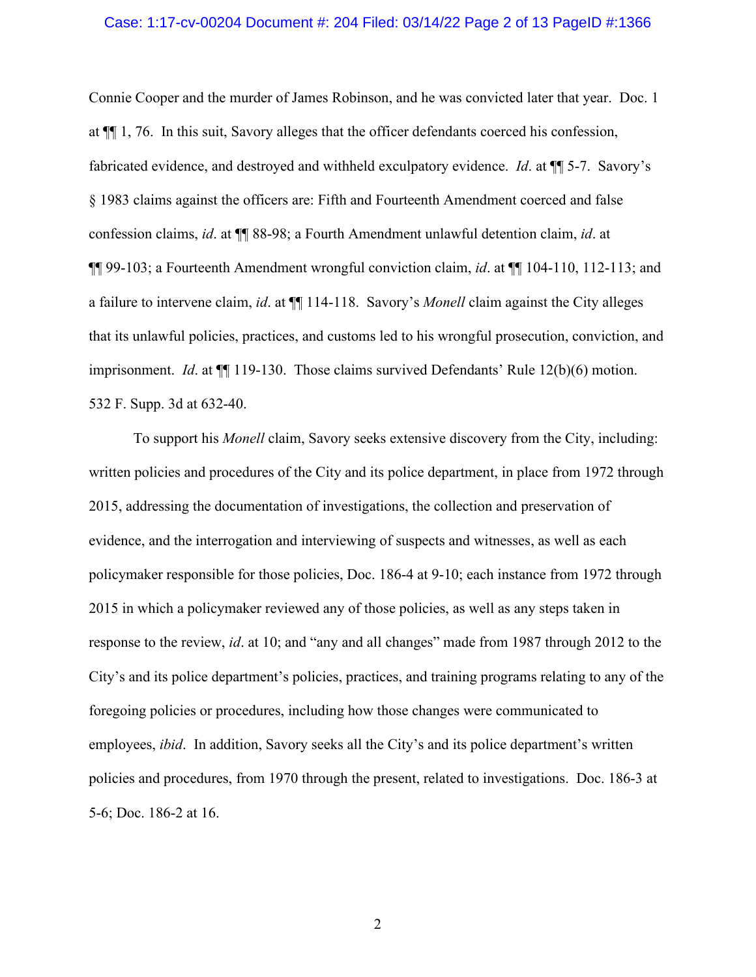#### Case: 1:17-cv-00204 Document #: 204 Filed: 03/14/22 Page 2 of 13 PageID #:1366

Connie Cooper and the murder of James Robinson, and he was convicted later that year. Doc. 1 at ¶¶ 1, 76. In this suit, Savory alleges that the officer defendants coerced his confession, fabricated evidence, and destroyed and withheld exculpatory evidence. *Id*. at ¶¶ 5-7. Savory's § 1983 claims against the officers are: Fifth and Fourteenth Amendment coerced and false confession claims, *id*. at ¶¶ 88-98; a Fourth Amendment unlawful detention claim, *id*. at ¶¶ 99-103; a Fourteenth Amendment wrongful conviction claim, *id*. at ¶¶ 104-110, 112-113; and a failure to intervene claim, *id*. at ¶¶ 114-118. Savory's *Monell* claim against the City alleges that its unlawful policies, practices, and customs led to his wrongful prosecution, conviction, and imprisonment. *Id.* at  $\P$  119-130. Those claims survived Defendants' Rule 12(b)(6) motion. 532 F. Supp. 3d at 632-40.

To support his *Monell* claim, Savory seeks extensive discovery from the City, including: written policies and procedures of the City and its police department, in place from 1972 through 2015, addressing the documentation of investigations, the collection and preservation of evidence, and the interrogation and interviewing of suspects and witnesses, as well as each policymaker responsible for those policies, Doc. 186-4 at 9-10; each instance from 1972 through 2015 in which a policymaker reviewed any of those policies, as well as any steps taken in response to the review, *id*. at 10; and "any and all changes" made from 1987 through 2012 to the City's and its police department's policies, practices, and training programs relating to any of the foregoing policies or procedures, including how those changes were communicated to employees, *ibid*. In addition, Savory seeks all the City's and its police department's written policies and procedures, from 1970 through the present, related to investigations. Doc. 186-3 at 5-6; Doc. 186-2 at 16.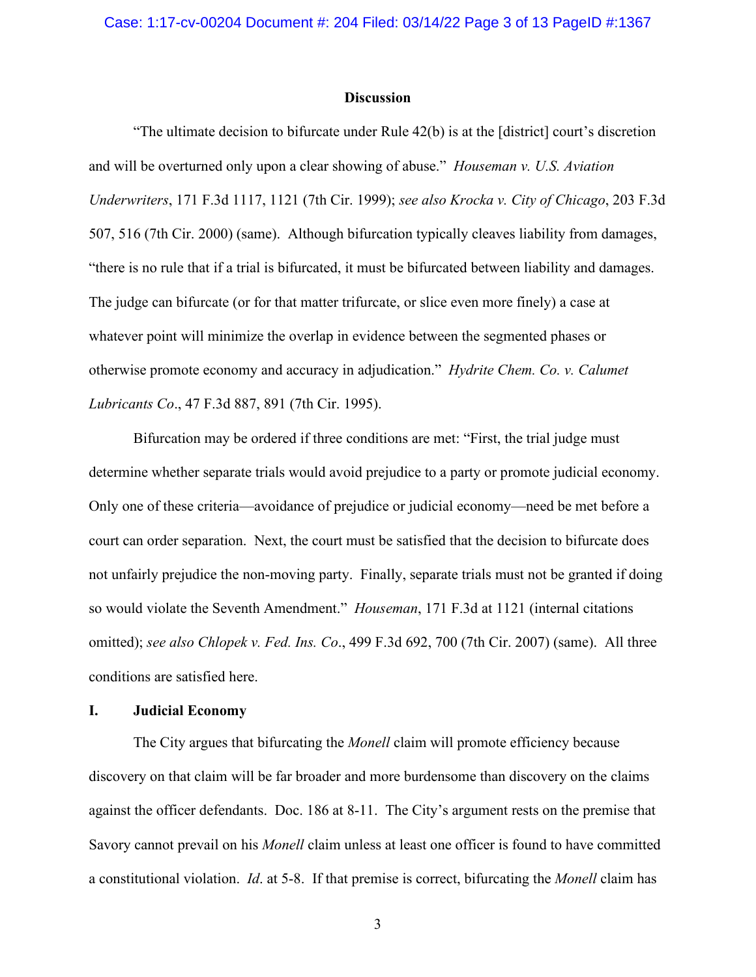### **Discussion**

"The ultimate decision to bifurcate under Rule 42(b) is at the [district] court's discretion and will be overturned only upon a clear showing of abuse." *Houseman v. U.S. Aviation Underwriters*, 171 F.3d 1117, 1121 (7th Cir. 1999); *see also Krocka v. City of Chicago*, 203 F.3d 507, 516 (7th Cir. 2000) (same). Although bifurcation typically cleaves liability from damages, "there is no rule that if a trial is bifurcated, it must be bifurcated between liability and damages. The judge can bifurcate (or for that matter trifurcate, or slice even more finely) a case at whatever point will minimize the overlap in evidence between the segmented phases or otherwise promote economy and accuracy in adjudication." *Hydrite Chem. Co. v. Calumet Lubricants Co*., 47 F.3d 887, 891 (7th Cir. 1995).

Bifurcation may be ordered if three conditions are met: "First, the trial judge must determine whether separate trials would avoid prejudice to a party or promote judicial economy. Only one of these criteria—avoidance of prejudice or judicial economy—need be met before a court can order separation. Next, the court must be satisfied that the decision to bifurcate does not unfairly prejudice the non-moving party. Finally, separate trials must not be granted if doing so would violate the Seventh Amendment." *Houseman*, 171 F.3d at 1121 (internal citations omitted); *see also Chlopek v. Fed. Ins. Co*., 499 F.3d 692, 700 (7th Cir. 2007) (same). All three conditions are satisfied here.

### **I. Judicial Economy**

The City argues that bifurcating the *Monell* claim will promote efficiency because discovery on that claim will be far broader and more burdensome than discovery on the claims against the officer defendants. Doc. 186 at 8-11. The City's argument rests on the premise that Savory cannot prevail on his *Monell* claim unless at least one officer is found to have committed a constitutional violation. *Id*. at 5-8. If that premise is correct, bifurcating the *Monell* claim has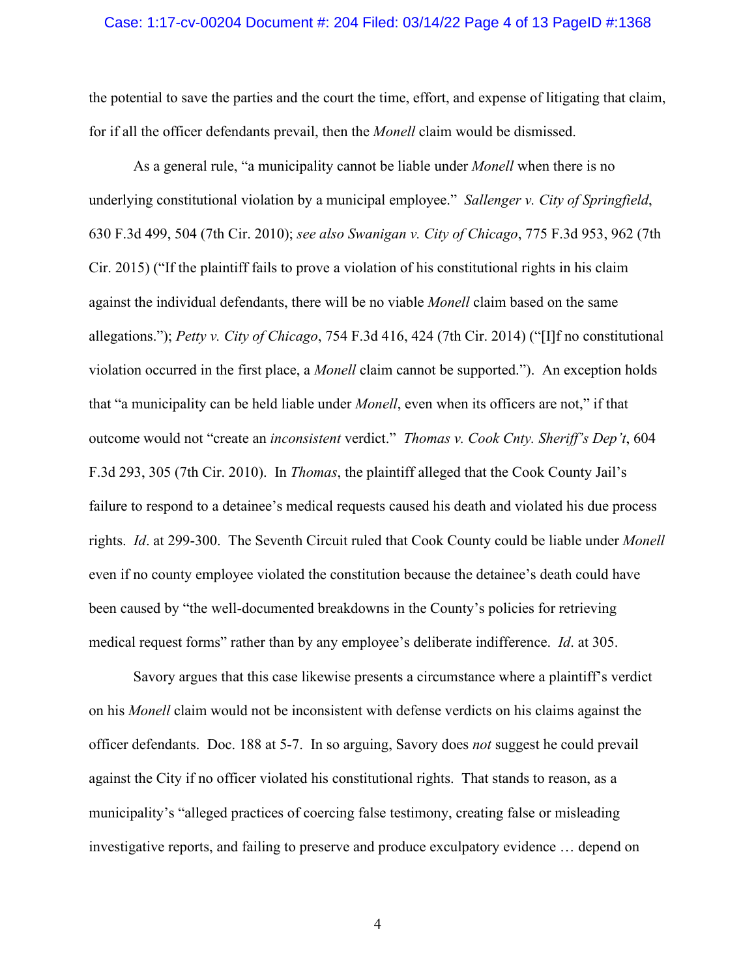#### Case: 1:17-cv-00204 Document #: 204 Filed: 03/14/22 Page 4 of 13 PageID #:1368

the potential to save the parties and the court the time, effort, and expense of litigating that claim, for if all the officer defendants prevail, then the *Monell* claim would be dismissed.

As a general rule, "a municipality cannot be liable under *Monell* when there is no underlying constitutional violation by a municipal employee." *Sallenger v. City of Springfield*, 630 F.3d 499, 504 (7th Cir. 2010); *see also Swanigan v. City of Chicago*, 775 F.3d 953, 962 (7th Cir. 2015) ("If the plaintiff fails to prove a violation of his constitutional rights in his claim against the individual defendants, there will be no viable *Monell* claim based on the same allegations."); *Petty v. City of Chicago*, 754 F.3d 416, 424 (7th Cir. 2014) ("[I]f no constitutional violation occurred in the first place, a *Monell* claim cannot be supported."). An exception holds that "a municipality can be held liable under *Monell*, even when its officers are not," if that outcome would not "create an *inconsistent* verdict." *Thomas v. Cook Cnty. Sheriff's Dep't*, 604 F.3d 293, 305 (7th Cir. 2010). In *Thomas*, the plaintiff alleged that the Cook County Jail's failure to respond to a detainee's medical requests caused his death and violated his due process rights. *Id*. at 299-300. The Seventh Circuit ruled that Cook County could be liable under *Monell* even if no county employee violated the constitution because the detainee's death could have been caused by "the well-documented breakdowns in the County's policies for retrieving medical request forms" rather than by any employee's deliberate indifference. *Id*. at 305.

Savory argues that this case likewise presents a circumstance where a plaintiff's verdict on his *Monell* claim would not be inconsistent with defense verdicts on his claims against the officer defendants. Doc. 188 at 5-7. In so arguing, Savory does *not* suggest he could prevail against the City if no officer violated his constitutional rights. That stands to reason, as a municipality's "alleged practices of coercing false testimony, creating false or misleading investigative reports, and failing to preserve and produce exculpatory evidence … depend on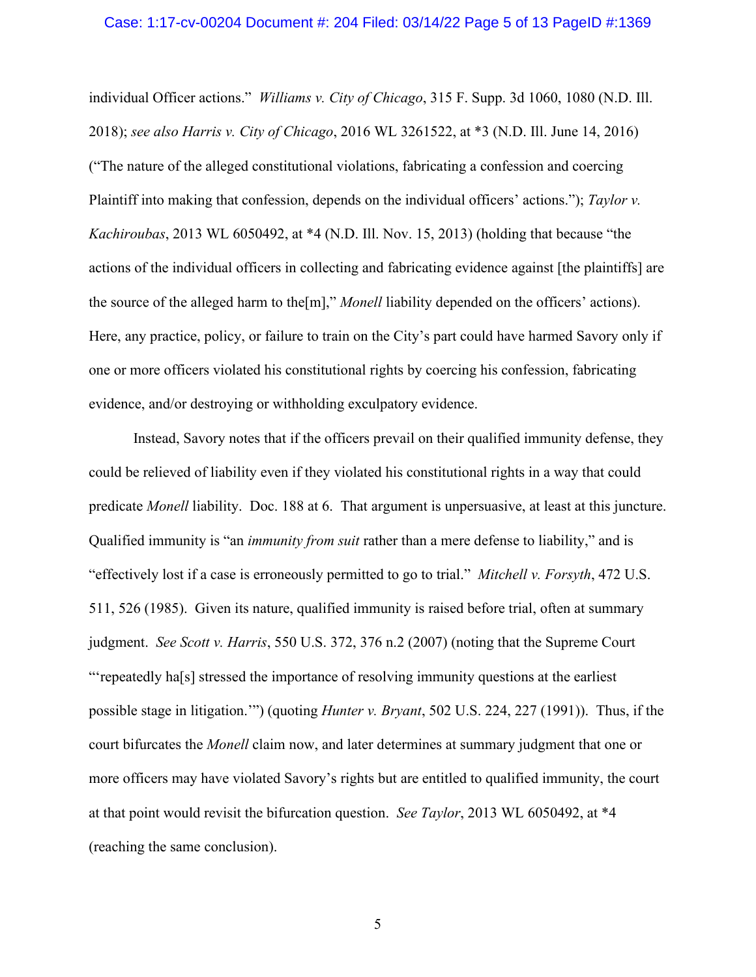#### Case: 1:17-cv-00204 Document #: 204 Filed: 03/14/22 Page 5 of 13 PageID #:1369

individual Officer actions." *Williams v. City of Chicago*, 315 F. Supp. 3d 1060, 1080 (N.D. Ill. 2018); *see also Harris v. City of Chicago*, 2016 WL 3261522, at \*3 (N.D. Ill. June 14, 2016) ("The nature of the alleged constitutional violations, fabricating a confession and coercing Plaintiff into making that confession, depends on the individual officers' actions."); *Taylor v. Kachiroubas*, 2013 WL 6050492, at \*4 (N.D. Ill. Nov. 15, 2013) (holding that because "the actions of the individual officers in collecting and fabricating evidence against [the plaintiffs] are the source of the alleged harm to the[m]," *Monell* liability depended on the officers' actions). Here, any practice, policy, or failure to train on the City's part could have harmed Savory only if one or more officers violated his constitutional rights by coercing his confession, fabricating evidence, and/or destroying or withholding exculpatory evidence.

Instead, Savory notes that if the officers prevail on their qualified immunity defense, they could be relieved of liability even if they violated his constitutional rights in a way that could predicate *Monell* liability. Doc. 188 at 6. That argument is unpersuasive, at least at this juncture. Qualified immunity is "an *immunity from suit* rather than a mere defense to liability," and is "effectively lost if a case is erroneously permitted to go to trial." *Mitchell v. Forsyth*, 472 U.S. 511, 526 (1985). Given its nature, qualified immunity is raised before trial, often at summary judgment. *See Scott v. Harris*, 550 U.S. 372, 376 n.2 (2007) (noting that the Supreme Court "'repeatedly ha[s] stressed the importance of resolving immunity questions at the earliest possible stage in litigation.'") (quoting *Hunter v. Bryant*, 502 U.S. 224, 227 (1991)). Thus, if the court bifurcates the *Monell* claim now, and later determines at summary judgment that one or more officers may have violated Savory's rights but are entitled to qualified immunity, the court at that point would revisit the bifurcation question. *See Taylor*, 2013 WL 6050492, at \*4 (reaching the same conclusion).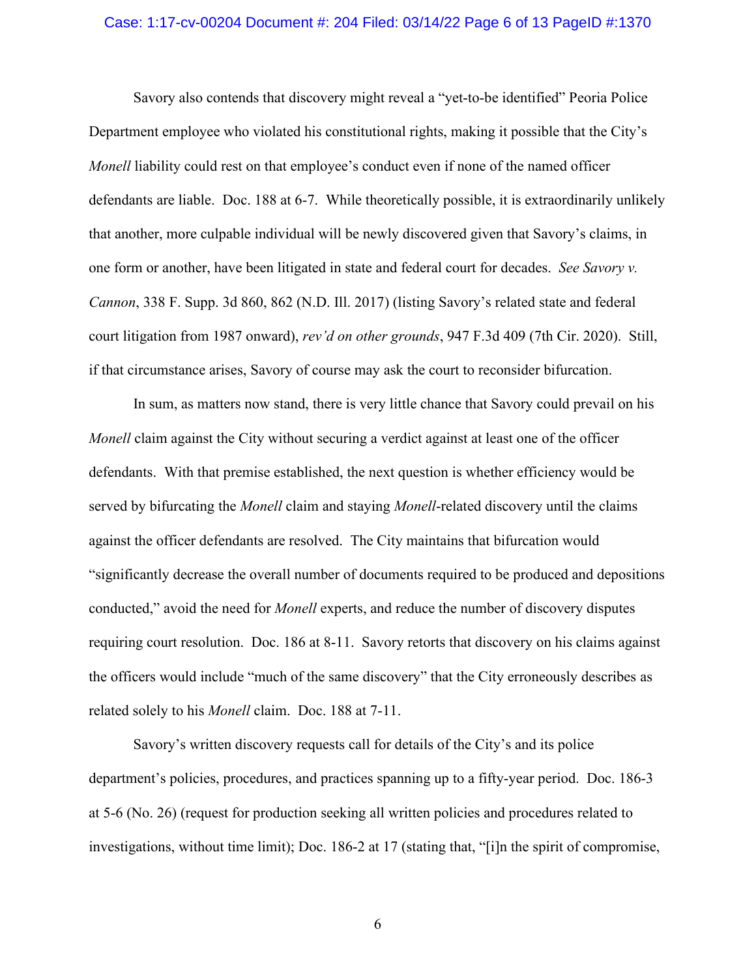### Case: 1:17-cv-00204 Document #: 204 Filed: 03/14/22 Page 6 of 13 PageID #:1370

Savory also contends that discovery might reveal a "yet-to-be identified" Peoria Police Department employee who violated his constitutional rights, making it possible that the City's *Monell* liability could rest on that employee's conduct even if none of the named officer defendants are liable. Doc. 188 at 6-7. While theoretically possible, it is extraordinarily unlikely that another, more culpable individual will be newly discovered given that Savory's claims, in one form or another, have been litigated in state and federal court for decades. *See Savory v. Cannon*, 338 F. Supp. 3d 860, 862 (N.D. Ill. 2017) (listing Savory's related state and federal court litigation from 1987 onward), *rev'd on other grounds*, 947 F.3d 409 (7th Cir. 2020). Still, if that circumstance arises, Savory of course may ask the court to reconsider bifurcation.

In sum, as matters now stand, there is very little chance that Savory could prevail on his *Monell* claim against the City without securing a verdict against at least one of the officer defendants. With that premise established, the next question is whether efficiency would be served by bifurcating the *Monell* claim and staying *Monell*-related discovery until the claims against the officer defendants are resolved. The City maintains that bifurcation would "significantly decrease the overall number of documents required to be produced and depositions conducted," avoid the need for *Monell* experts, and reduce the number of discovery disputes requiring court resolution. Doc. 186 at 8-11. Savory retorts that discovery on his claims against the officers would include "much of the same discovery" that the City erroneously describes as related solely to his *Monell* claim. Doc. 188 at 7-11.

Savory's written discovery requests call for details of the City's and its police department's policies, procedures, and practices spanning up to a fifty-year period. Doc. 186-3 at 5-6 (No. 26) (request for production seeking all written policies and procedures related to investigations, without time limit); Doc. 186-2 at 17 (stating that, "[i]n the spirit of compromise,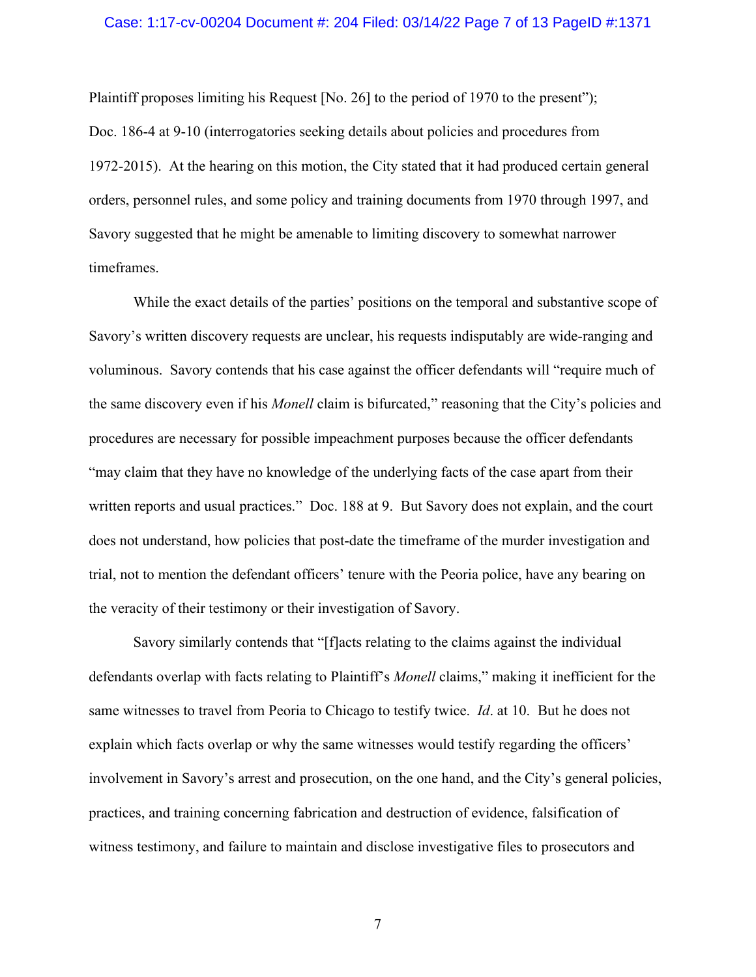### Case: 1:17-cv-00204 Document #: 204 Filed: 03/14/22 Page 7 of 13 PageID #:1371

Plaintiff proposes limiting his Request [No. 26] to the period of 1970 to the present"); Doc. 186-4 at 9-10 (interrogatories seeking details about policies and procedures from 1972-2015). At the hearing on this motion, the City stated that it had produced certain general orders, personnel rules, and some policy and training documents from 1970 through 1997, and Savory suggested that he might be amenable to limiting discovery to somewhat narrower timeframes.

While the exact details of the parties' positions on the temporal and substantive scope of Savory's written discovery requests are unclear, his requests indisputably are wide-ranging and voluminous. Savory contends that his case against the officer defendants will "require much of the same discovery even if his *Monell* claim is bifurcated," reasoning that the City's policies and procedures are necessary for possible impeachment purposes because the officer defendants "may claim that they have no knowledge of the underlying facts of the case apart from their written reports and usual practices." Doc. 188 at 9. But Savory does not explain, and the court does not understand, how policies that post-date the timeframe of the murder investigation and trial, not to mention the defendant officers' tenure with the Peoria police, have any bearing on the veracity of their testimony or their investigation of Savory.

Savory similarly contends that "[f]acts relating to the claims against the individual defendants overlap with facts relating to Plaintiff's *Monell* claims," making it inefficient for the same witnesses to travel from Peoria to Chicago to testify twice. *Id*. at 10. But he does not explain which facts overlap or why the same witnesses would testify regarding the officers' involvement in Savory's arrest and prosecution, on the one hand, and the City's general policies, practices, and training concerning fabrication and destruction of evidence, falsification of witness testimony, and failure to maintain and disclose investigative files to prosecutors and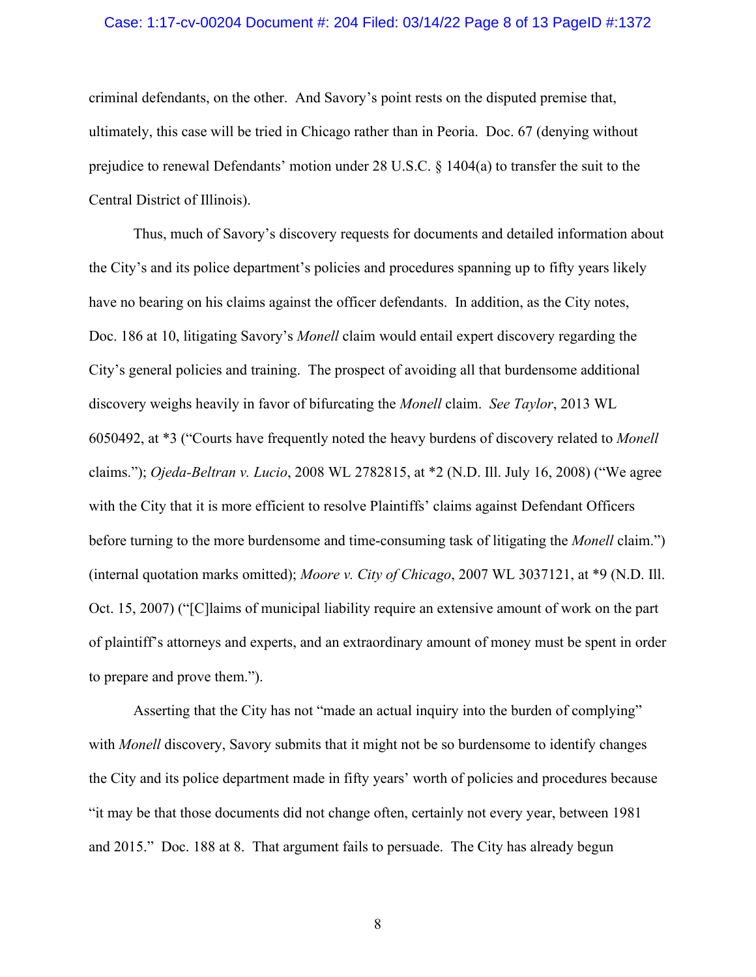### Case: 1:17-cv-00204 Document #: 204 Filed: 03/14/22 Page 8 of 13 PageID #:1372

criminal defendants, on the other. And Savory's point rests on the disputed premise that, ultimately, this case will be tried in Chicago rather than in Peoria. Doc. 67 (denying without prejudice to renewal Defendants' motion under 28 U.S.C. § 1404(a) to transfer the suit to the Central District of Illinois).

Thus, much of Savory's discovery requests for documents and detailed information about the City's and its police department's policies and procedures spanning up to fifty years likely have no bearing on his claims against the officer defendants. In addition, as the City notes, Doc. 186 at 10, litigating Savory's *Monell* claim would entail expert discovery regarding the City's general policies and training. The prospect of avoiding all that burdensome additional discovery weighs heavily in favor of bifurcating the *Monell* claim. *See Taylor*, 2013 WL 6050492, at \*3 ("Courts have frequently noted the heavy burdens of discovery related to *Monell* claims."); *Ojeda-Beltran v. Lucio*, 2008 WL 2782815, at \*2 (N.D. Ill. July 16, 2008) ("We agree with the City that it is more efficient to resolve Plaintiffs' claims against Defendant Officers before turning to the more burdensome and time-consuming task of litigating the *Monell* claim.") (internal quotation marks omitted); *Moore v. City of Chicago*, 2007 WL 3037121, at \*9 (N.D. Ill. Oct. 15, 2007) ("[C]laims of municipal liability require an extensive amount of work on the part of plaintiff's attorneys and experts, and an extraordinary amount of money must be spent in order to prepare and prove them.").

Asserting that the City has not "made an actual inquiry into the burden of complying" with *Monell* discovery, Savory submits that it might not be so burdensome to identify changes the City and its police department made in fifty years' worth of policies and procedures because "it may be that those documents did not change often, certainly not every year, between 1981 and 2015." Doc. 188 at 8. That argument fails to persuade. The City has already begun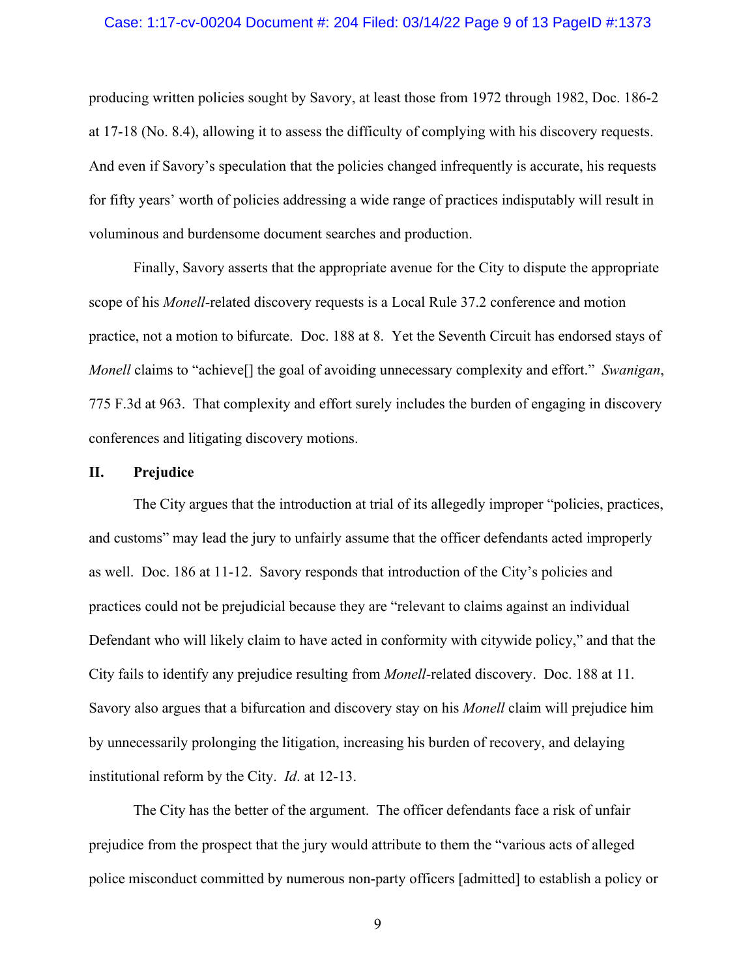#### Case: 1:17-cv-00204 Document #: 204 Filed: 03/14/22 Page 9 of 13 PageID #:1373

producing written policies sought by Savory, at least those from 1972 through 1982, Doc. 186-2 at 17-18 (No. 8.4), allowing it to assess the difficulty of complying with his discovery requests. And even if Savory's speculation that the policies changed infrequently is accurate, his requests for fifty years' worth of policies addressing a wide range of practices indisputably will result in voluminous and burdensome document searches and production.

Finally, Savory asserts that the appropriate avenue for the City to dispute the appropriate scope of his *Monell*-related discovery requests is a Local Rule 37.2 conference and motion practice, not a motion to bifurcate. Doc. 188 at 8. Yet the Seventh Circuit has endorsed stays of *Monell* claims to "achieve[] the goal of avoiding unnecessary complexity and effort." *Swanigan*, 775 F.3d at 963. That complexity and effort surely includes the burden of engaging in discovery conferences and litigating discovery motions.

### **II. Prejudice**

The City argues that the introduction at trial of its allegedly improper "policies, practices, and customs" may lead the jury to unfairly assume that the officer defendants acted improperly as well. Doc. 186 at 11-12. Savory responds that introduction of the City's policies and practices could not be prejudicial because they are "relevant to claims against an individual Defendant who will likely claim to have acted in conformity with citywide policy," and that the City fails to identify any prejudice resulting from *Monell*-related discovery. Doc. 188 at 11. Savory also argues that a bifurcation and discovery stay on his *Monell* claim will prejudice him by unnecessarily prolonging the litigation, increasing his burden of recovery, and delaying institutional reform by the City. *Id*. at 12-13.

The City has the better of the argument. The officer defendants face a risk of unfair prejudice from the prospect that the jury would attribute to them the "various acts of alleged police misconduct committed by numerous non-party officers [admitted] to establish a policy or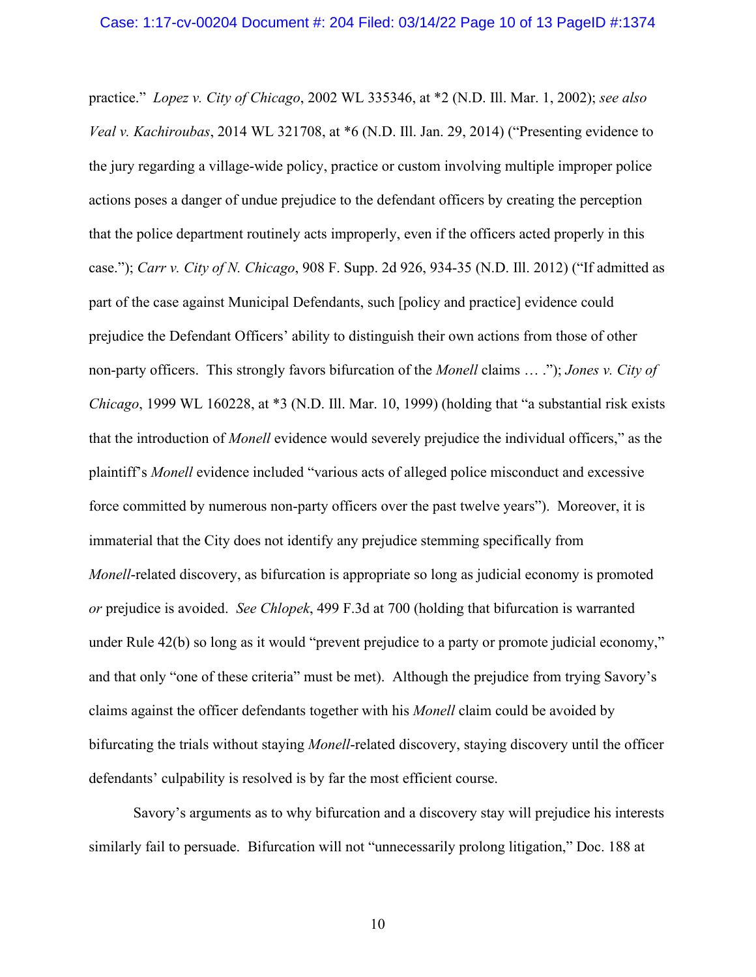practice." *Lopez v. City of Chicago*, 2002 WL 335346, at \*2 (N.D. Ill. Mar. 1, 2002); *see also Veal v. Kachiroubas*, 2014 WL 321708, at \*6 (N.D. Ill. Jan. 29, 2014) ("Presenting evidence to the jury regarding a village-wide policy, practice or custom involving multiple improper police actions poses a danger of undue prejudice to the defendant officers by creating the perception that the police department routinely acts improperly, even if the officers acted properly in this case."); *Carr v. City of N. Chicago*, 908 F. Supp. 2d 926, 934-35 (N.D. Ill. 2012) ("If admitted as part of the case against Municipal Defendants, such [policy and practice] evidence could prejudice the Defendant Officers' ability to distinguish their own actions from those of other non-party officers. This strongly favors bifurcation of the *Monell* claims … ."); *Jones v. City of Chicago*, 1999 WL 160228, at \*3 (N.D. Ill. Mar. 10, 1999) (holding that "a substantial risk exists that the introduction of *Monell* evidence would severely prejudice the individual officers," as the plaintiff's *Monell* evidence included "various acts of alleged police misconduct and excessive force committed by numerous non-party officers over the past twelve years"). Moreover, it is immaterial that the City does not identify any prejudice stemming specifically from *Monell*-related discovery, as bifurcation is appropriate so long as judicial economy is promoted *or* prejudice is avoided. *See Chlopek*, 499 F.3d at 700 (holding that bifurcation is warranted under Rule 42(b) so long as it would "prevent prejudice to a party or promote judicial economy," and that only "one of these criteria" must be met). Although the prejudice from trying Savory's claims against the officer defendants together with his *Monell* claim could be avoided by bifurcating the trials without staying *Monell*-related discovery, staying discovery until the officer defendants' culpability is resolved is by far the most efficient course.

Savory's arguments as to why bifurcation and a discovery stay will prejudice his interests similarly fail to persuade. Bifurcation will not "unnecessarily prolong litigation," Doc. 188 at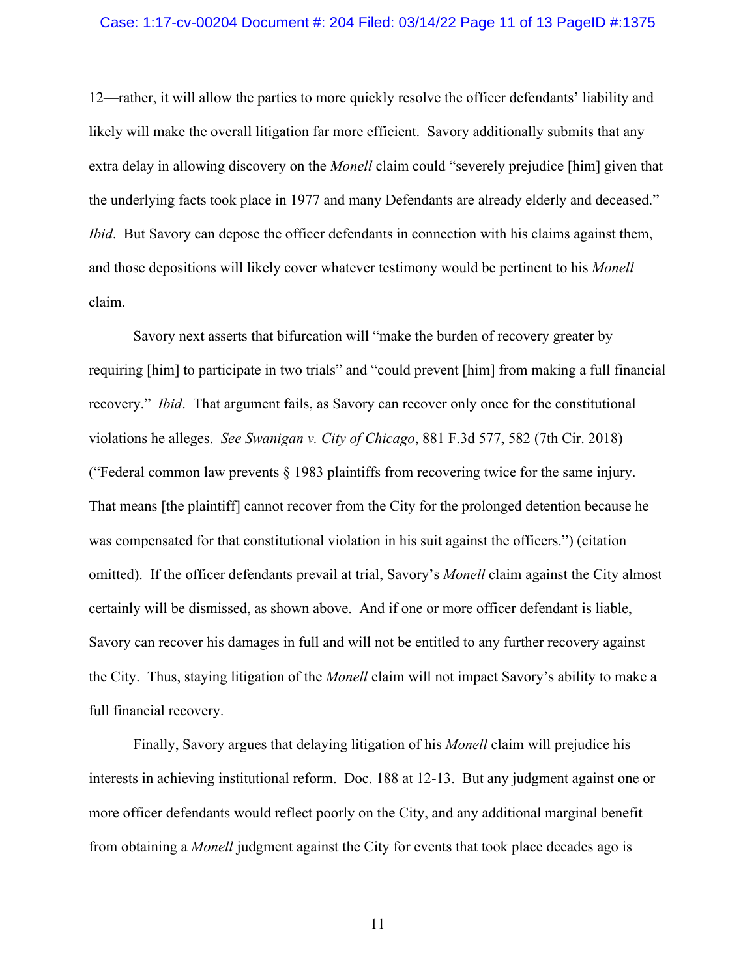### Case: 1:17-cv-00204 Document #: 204 Filed: 03/14/22 Page 11 of 13 PageID #:1375

12—rather, it will allow the parties to more quickly resolve the officer defendants' liability and likely will make the overall litigation far more efficient. Savory additionally submits that any extra delay in allowing discovery on the *Monell* claim could "severely prejudice [him] given that the underlying facts took place in 1977 and many Defendants are already elderly and deceased." *Ibid.* But Savory can depose the officer defendants in connection with his claims against them, and those depositions will likely cover whatever testimony would be pertinent to his *Monell* claim.

Savory next asserts that bifurcation will "make the burden of recovery greater by requiring [him] to participate in two trials" and "could prevent [him] from making a full financial recovery." *Ibid*. That argument fails, as Savory can recover only once for the constitutional violations he alleges. *See Swanigan v. City of Chicago*, 881 F.3d 577, 582 (7th Cir. 2018) ("Federal common law prevents § 1983 plaintiffs from recovering twice for the same injury. That means [the plaintiff] cannot recover from the City for the prolonged detention because he was compensated for that constitutional violation in his suit against the officers.") (citation omitted). If the officer defendants prevail at trial, Savory's *Monell* claim against the City almost certainly will be dismissed, as shown above. And if one or more officer defendant is liable, Savory can recover his damages in full and will not be entitled to any further recovery against the City. Thus, staying litigation of the *Monell* claim will not impact Savory's ability to make a full financial recovery.

Finally, Savory argues that delaying litigation of his *Monell* claim will prejudice his interests in achieving institutional reform. Doc. 188 at 12-13. But any judgment against one or more officer defendants would reflect poorly on the City, and any additional marginal benefit from obtaining a *Monell* judgment against the City for events that took place decades ago is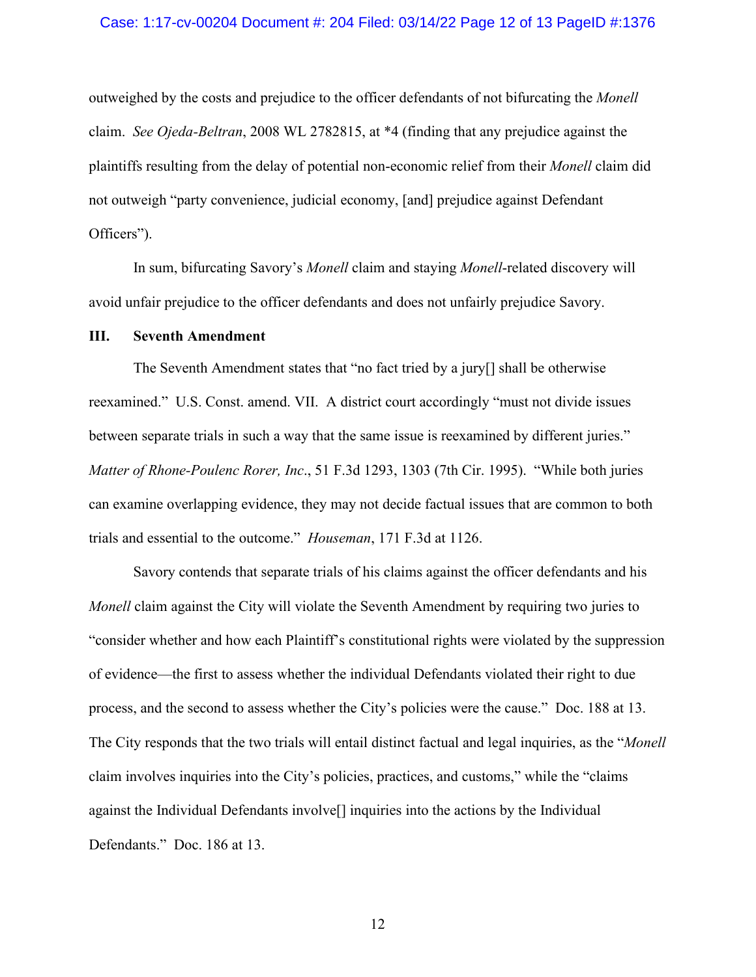#### Case: 1:17-cv-00204 Document #: 204 Filed: 03/14/22 Page 12 of 13 PageID #:1376

outweighed by the costs and prejudice to the officer defendants of not bifurcating the *Monell* claim. *See Ojeda-Beltran*, 2008 WL 2782815, at \*4 (finding that any prejudice against the plaintiffs resulting from the delay of potential non-economic relief from their *Monell* claim did not outweigh "party convenience, judicial economy, [and] prejudice against Defendant Officers").

In sum, bifurcating Savory's *Monell* claim and staying *Monell*-related discovery will avoid unfair prejudice to the officer defendants and does not unfairly prejudice Savory.

### **III. Seventh Amendment**

The Seventh Amendment states that "no fact tried by a jury[] shall be otherwise reexamined." U.S. Const. amend. VII. A district court accordingly "must not divide issues between separate trials in such a way that the same issue is reexamined by different juries." *Matter of Rhone-Poulenc Rorer, Inc*., 51 F.3d 1293, 1303 (7th Cir. 1995). "While both juries can examine overlapping evidence, they may not decide factual issues that are common to both trials and essential to the outcome." *Houseman*, 171 F.3d at 1126.

Savory contends that separate trials of his claims against the officer defendants and his *Monell* claim against the City will violate the Seventh Amendment by requiring two juries to "consider whether and how each Plaintiff's constitutional rights were violated by the suppression of evidence—the first to assess whether the individual Defendants violated their right to due process, and the second to assess whether the City's policies were the cause." Doc. 188 at 13. The City responds that the two trials will entail distinct factual and legal inquiries, as the "*Monell* claim involves inquiries into the City's policies, practices, and customs," while the "claims against the Individual Defendants involve[] inquiries into the actions by the Individual Defendants." Doc. 186 at 13.